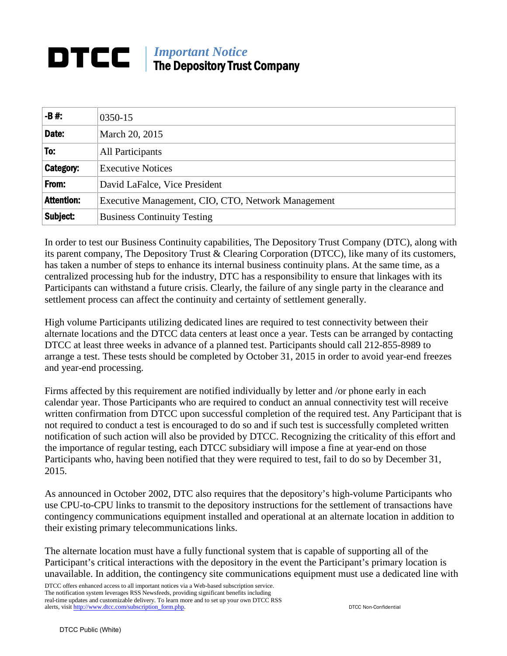## *Important Notice* DTCC The Depository Trust Company

| $-B#$ :           | 0350-15                                            |
|-------------------|----------------------------------------------------|
| Date:             | March 20, 2015                                     |
| To:               | All Participants                                   |
| Category:         | <b>Executive Notices</b>                           |
| From:             | David LaFalce, Vice President                      |
| <b>Attention:</b> | Executive Management, CIO, CTO, Network Management |
| Subject:          | <b>Business Continuity Testing</b>                 |

In order to test our Business Continuity capabilities, The Depository Trust Company (DTC), along with its parent company, The Depository Trust & Clearing Corporation (DTCC), like many of its customers, has taken a number of steps to enhance its internal business continuity plans. At the same time, as a centralized processing hub for the industry, DTC has a responsibility to ensure that linkages with its Participants can withstand a future crisis. Clearly, the failure of any single party in the clearance and settlement process can affect the continuity and certainty of settlement generally.

High volume Participants utilizing dedicated lines are required to test connectivity between their alternate locations and the DTCC data centers at least once a year. Tests can be arranged by contacting DTCC at least three weeks in advance of a planned test. Participants should call 212-855-8989 to arrange a test. These tests should be completed by October 31, 2015 in order to avoid year-end freezes and year-end processing.

Firms affected by this requirement are notified individually by letter and /or phone early in each calendar year. Those Participants who are required to conduct an annual connectivity test will receive written confirmation from DTCC upon successful completion of the required test. Any Participant that is not required to conduct a test is encouraged to do so and if such test is successfully completed written notification of such action will also be provided by DTCC. Recognizing the criticality of this effort and the importance of regular testing, each DTCC subsidiary will impose a fine at year-end on those Participants who, having been notified that they were required to test, fail to do so by December 31, 2015.

As announced in October 2002, DTC also requires that the depository's high-volume Participants who use CPU-to-CPU links to transmit to the depository instructions for the settlement of transactions have contingency communications equipment installed and operational at an alternate location in addition to their existing primary telecommunications links.

The alternate location must have a fully functional system that is capable of supporting all of the Participant's critical interactions with the depository in the event the Participant's primary location is unavailable. In addition, the contingency site communications equipment must use a dedicated line with